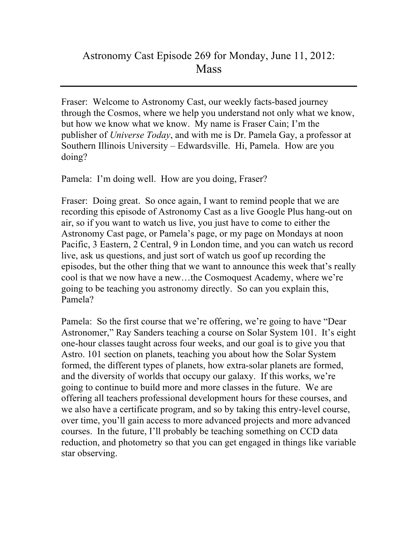## Astronomy Cast Episode 269 for Monday, June 11, 2012: **Mass**

Fraser: Welcome to Astronomy Cast, our weekly facts-based journey through the Cosmos, where we help you understand not only what we know, but how we know what we know. My name is Fraser Cain; I'm the publisher of *Universe Today*, and with me is Dr. Pamela Gay, a professor at Southern Illinois University – Edwardsville. Hi, Pamela. How are you doing?

Pamela: I'm doing well. How are you doing, Fraser?

Fraser: Doing great. So once again, I want to remind people that we are recording this episode of Astronomy Cast as a live Google Plus hang-out on air, so if you want to watch us live, you just have to come to either the Astronomy Cast page, or Pamela's page, or my page on Mondays at noon Pacific, 3 Eastern, 2 Central, 9 in London time, and you can watch us record live, ask us questions, and just sort of watch us goof up recording the episodes, but the other thing that we want to announce this week that's really cool is that we now have a new…the Cosmoquest Academy, where we're going to be teaching you astronomy directly. So can you explain this, Pamela?

Pamela: So the first course that we're offering, we're going to have "Dear Astronomer," Ray Sanders teaching a course on Solar System 101. It's eight one-hour classes taught across four weeks, and our goal is to give you that Astro. 101 section on planets, teaching you about how the Solar System formed, the different types of planets, how extra-solar planets are formed, and the diversity of worlds that occupy our galaxy. If this works, we're going to continue to build more and more classes in the future. We are offering all teachers professional development hours for these courses, and we also have a certificate program, and so by taking this entry-level course, over time, you'll gain access to more advanced projects and more advanced courses. In the future, I'll probably be teaching something on CCD data reduction, and photometry so that you can get engaged in things like variable star observing.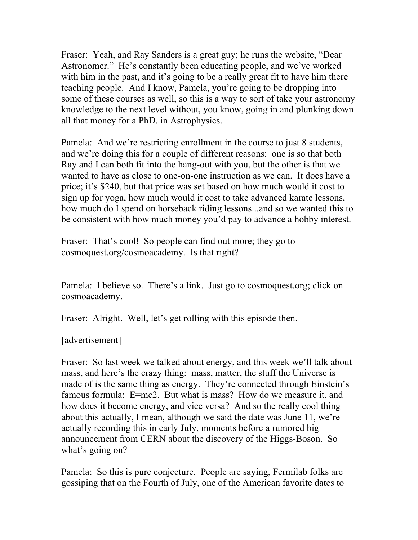Fraser: Yeah, and Ray Sanders is a great guy; he runs the website, "Dear Astronomer." He's constantly been educating people, and we've worked with him in the past, and it's going to be a really great fit to have him there teaching people. And I know, Pamela, you're going to be dropping into some of these courses as well, so this is a way to sort of take your astronomy knowledge to the next level without, you know, going in and plunking down all that money for a PhD. in Astrophysics.

Pamela: And we're restricting enrollment in the course to just 8 students, and we're doing this for a couple of different reasons: one is so that both Ray and I can both fit into the hang-out with you, but the other is that we wanted to have as close to one-on-one instruction as we can. It does have a price; it's \$240, but that price was set based on how much would it cost to sign up for yoga, how much would it cost to take advanced karate lessons, how much do I spend on horseback riding lessons...and so we wanted this to be consistent with how much money you'd pay to advance a hobby interest.

Fraser: That's cool! So people can find out more; they go to cosmoquest.org/cosmoacademy. Is that right?

Pamela: I believe so. There's a link. Just go to cosmoquest.org; click on cosmoacademy.

Fraser: Alright. Well, let's get rolling with this episode then.

[advertisement]

Fraser: So last week we talked about energy, and this week we'll talk about mass, and here's the crazy thing: mass, matter, the stuff the Universe is made of is the same thing as energy. They're connected through Einstein's famous formula: E=mc2. But what is mass? How do we measure it, and how does it become energy, and vice versa? And so the really cool thing about this actually, I mean, although we said the date was June 11, we're actually recording this in early July, moments before a rumored big announcement from CERN about the discovery of the Higgs-Boson. So what's going on?

Pamela: So this is pure conjecture. People are saying, Fermilab folks are gossiping that on the Fourth of July, one of the American favorite dates to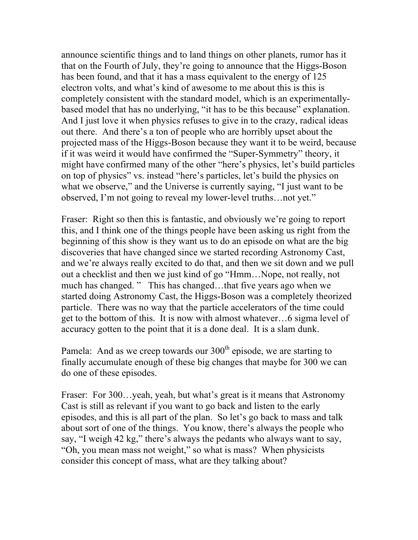announce scientific things and to land things on other planets, rumor has it that on the Fourth of July, they're going to announce that the Higgs-Boson has been found, and that it has a mass equivalent to the energy of 125 electron volts, and what's kind of awesome to me about this is this is completely consistent with the standard model, which is an experimentallybased model that has no underlying, "it has to be this because" explanation. And I just love it when physics refuses to give in to the crazy, radical ideas out there. And there's a ton of people who are horribly upset about the projected mass of the Higgs-Boson because they want it to be weird, because if it was weird it would have confirmed the "Super-Symmetry" theory, it might have confirmed many of the other "here's physics, let's build particles on top of physics" vs. instead "here's particles, let's build the physics on what we observe," and the Universe is currently saying, "I just want to be observed, I'm not going to reveal my lower-level truths…not yet."

Fraser: Right so then this is fantastic, and obviously we're going to report this, and I think one of the things people have been asking us right from the beginning of this show is they want us to do an episode on what are the big discoveries that have changed since we started recording Astronomy Cast, and we're always really excited to do that, and then we sit down and we pull out a checklist and then we just kind of go "Hmm…Nope, not really, not much has changed. " This has changed…that five years ago when we started doing Astronomy Cast, the Higgs-Boson was a completely theorized particle. There was no way that the particle accelerators of the time could get to the bottom of this. It is now with almost whatever…6 sigma level of accuracy gotten to the point that it is a done deal. It is a slam dunk.

Pamela: And as we creep towards our  $300<sup>th</sup>$  episode, we are starting to finally accumulate enough of these big changes that maybe for 300 we can do one of these episodes.

Fraser: For 300...yeah, yeah, but what's great is it means that Astronomy Cast is still as relevant if you want to go back and listen to the early episodes, and this is all part of the plan. So let's go back to mass and talk about sort of one of the things. You know, there's always the people who say, "I weigh 42 kg," there's always the pedants who always want to say, "Oh, you mean mass not weight," so what is mass? When physicists consider this concept of mass, what are they talking about?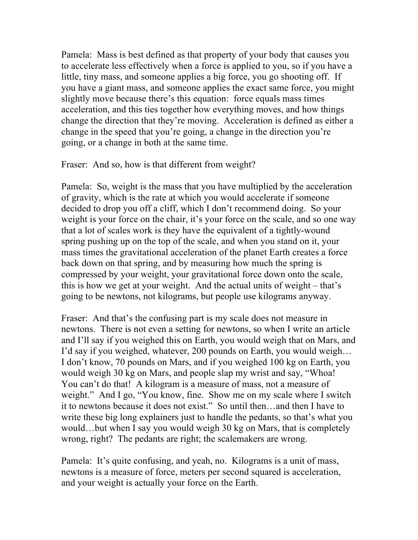Pamela: Mass is best defined as that property of your body that causes you to accelerate less effectively when a force is applied to you, so if you have a little, tiny mass, and someone applies a big force, you go shooting off. If you have a giant mass, and someone applies the exact same force, you might slightly move because there's this equation: force equals mass times acceleration, and this ties together how everything moves, and how things change the direction that they're moving. Acceleration is defined as either a change in the speed that you're going, a change in the direction you're going, or a change in both at the same time.

Fraser: And so, how is that different from weight?

Pamela: So, weight is the mass that you have multiplied by the acceleration of gravity, which is the rate at which you would accelerate if someone decided to drop you off a cliff, which I don't recommend doing. So your weight is your force on the chair, it's your force on the scale, and so one way that a lot of scales work is they have the equivalent of a tightly-wound spring pushing up on the top of the scale, and when you stand on it, your mass times the gravitational acceleration of the planet Earth creates a force back down on that spring, and by measuring how much the spring is compressed by your weight, your gravitational force down onto the scale, this is how we get at your weight. And the actual units of weight – that's going to be newtons, not kilograms, but people use kilograms anyway.

Fraser: And that's the confusing part is my scale does not measure in newtons. There is not even a setting for newtons, so when I write an article and I'll say if you weighed this on Earth, you would weigh that on Mars, and I'd say if you weighed, whatever, 200 pounds on Earth, you would weigh… I don't know, 70 pounds on Mars, and if you weighed 100 kg on Earth, you would weigh 30 kg on Mars, and people slap my wrist and say, "Whoa! You can't do that! A kilogram is a measure of mass, not a measure of weight." And I go, "You know, fine. Show me on my scale where I switch it to newtons because it does not exist." So until then…and then I have to write these big long explainers just to handle the pedants, so that's what you would…but when I say you would weigh 30 kg on Mars, that is completely wrong, right? The pedants are right; the scalemakers are wrong.

Pamela: It's quite confusing, and yeah, no. Kilograms is a unit of mass, newtons is a measure of force, meters per second squared is acceleration, and your weight is actually your force on the Earth.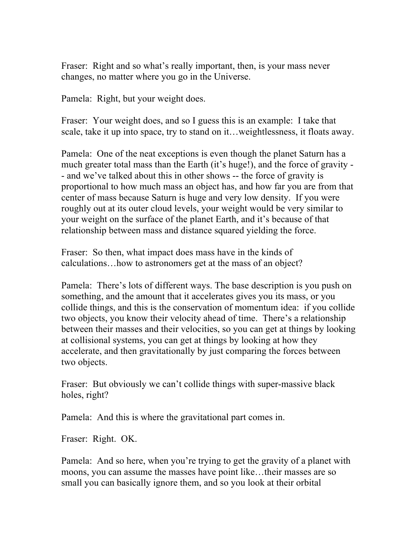Fraser: Right and so what's really important, then, is your mass never changes, no matter where you go in the Universe.

Pamela: Right, but your weight does.

Fraser: Your weight does, and so I guess this is an example: I take that scale, take it up into space, try to stand on it…weightlessness, it floats away.

Pamela: One of the neat exceptions is even though the planet Saturn has a much greater total mass than the Earth (it's huge!), and the force of gravity - - and we've talked about this in other shows -- the force of gravity is proportional to how much mass an object has, and how far you are from that center of mass because Saturn is huge and very low density. If you were roughly out at its outer cloud levels, your weight would be very similar to your weight on the surface of the planet Earth, and it's because of that relationship between mass and distance squared yielding the force.

Fraser: So then, what impact does mass have in the kinds of calculations…how to astronomers get at the mass of an object?

Pamela: There's lots of different ways. The base description is you push on something, and the amount that it accelerates gives you its mass, or you collide things, and this is the conservation of momentum idea: if you collide two objects, you know their velocity ahead of time. There's a relationship between their masses and their velocities, so you can get at things by looking at collisional systems, you can get at things by looking at how they accelerate, and then gravitationally by just comparing the forces between two objects.

Fraser: But obviously we can't collide things with super-massive black holes, right?

Pamela: And this is where the gravitational part comes in.

Fraser: Right. OK.

Pamela: And so here, when you're trying to get the gravity of a planet with moons, you can assume the masses have point like…their masses are so small you can basically ignore them, and so you look at their orbital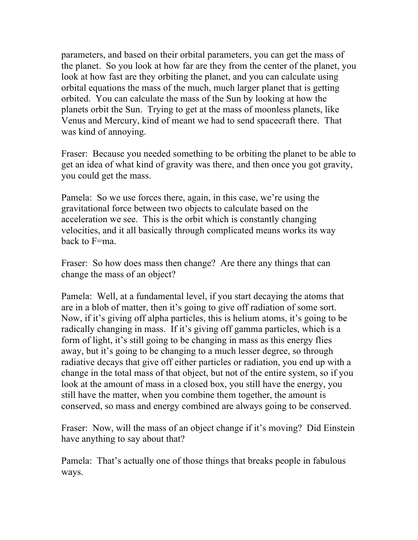parameters, and based on their orbital parameters, you can get the mass of the planet. So you look at how far are they from the center of the planet, you look at how fast are they orbiting the planet, and you can calculate using orbital equations the mass of the much, much larger planet that is getting orbited. You can calculate the mass of the Sun by looking at how the planets orbit the Sun. Trying to get at the mass of moonless planets, like Venus and Mercury, kind of meant we had to send spacecraft there. That was kind of annoying.

Fraser: Because you needed something to be orbiting the planet to be able to get an idea of what kind of gravity was there, and then once you got gravity, you could get the mass.

Pamela: So we use forces there, again, in this case, we're using the gravitational force between two objects to calculate based on the acceleration we see. This is the orbit which is constantly changing velocities, and it all basically through complicated means works its way back to F=ma.

Fraser: So how does mass then change? Are there any things that can change the mass of an object?

Pamela: Well, at a fundamental level, if you start decaying the atoms that are in a blob of matter, then it's going to give off radiation of some sort. Now, if it's giving off alpha particles, this is helium atoms, it's going to be radically changing in mass. If it's giving off gamma particles, which is a form of light, it's still going to be changing in mass as this energy flies away, but it's going to be changing to a much lesser degree, so through radiative decays that give off either particles or radiation, you end up with a change in the total mass of that object, but not of the entire system, so if you look at the amount of mass in a closed box, you still have the energy, you still have the matter, when you combine them together, the amount is conserved, so mass and energy combined are always going to be conserved.

Fraser: Now, will the mass of an object change if it's moving? Did Einstein have anything to say about that?

Pamela: That's actually one of those things that breaks people in fabulous ways.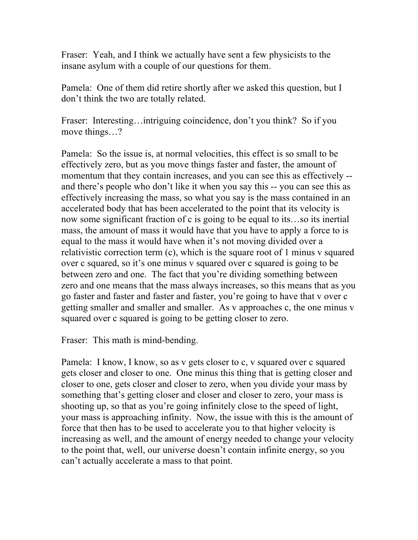Fraser: Yeah, and I think we actually have sent a few physicists to the insane asylum with a couple of our questions for them.

Pamela: One of them did retire shortly after we asked this question, but I don't think the two are totally related.

Fraser: Interesting...intriguing coincidence, don't you think? So if you move things...?

Pamela: So the issue is, at normal velocities, this effect is so small to be effectively zero, but as you move things faster and faster, the amount of momentum that they contain increases, and you can see this as effectively - and there's people who don't like it when you say this -- you can see this as effectively increasing the mass, so what you say is the mass contained in an accelerated body that has been accelerated to the point that its velocity is now some significant fraction of c is going to be equal to its…so its inertial mass, the amount of mass it would have that you have to apply a force to is equal to the mass it would have when it's not moving divided over a relativistic correction term (c), which is the square root of 1 minus v squared over c squared, so it's one minus v squared over c squared is going to be between zero and one. The fact that you're dividing something between zero and one means that the mass always increases, so this means that as you go faster and faster and faster and faster, you're going to have that v over c getting smaller and smaller and smaller. As v approaches c, the one minus v squared over c squared is going to be getting closer to zero.

Fraser: This math is mind-bending.

Pamela: I know, I know, so as v gets closer to c, v squared over c squared gets closer and closer to one. One minus this thing that is getting closer and closer to one, gets closer and closer to zero, when you divide your mass by something that's getting closer and closer and closer to zero, your mass is shooting up, so that as you're going infinitely close to the speed of light, your mass is approaching infinity. Now, the issue with this is the amount of force that then has to be used to accelerate you to that higher velocity is increasing as well, and the amount of energy needed to change your velocity to the point that, well, our universe doesn't contain infinite energy, so you can't actually accelerate a mass to that point.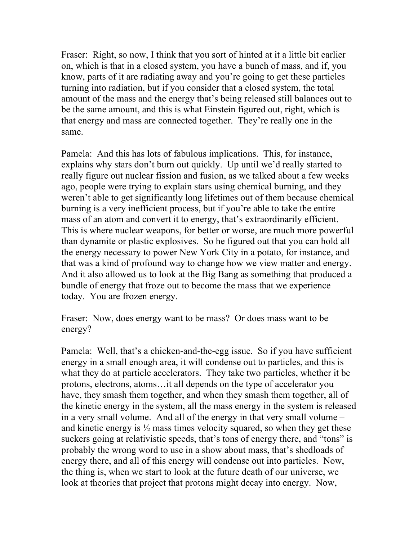Fraser: Right, so now, I think that you sort of hinted at it a little bit earlier on, which is that in a closed system, you have a bunch of mass, and if, you know, parts of it are radiating away and you're going to get these particles turning into radiation, but if you consider that a closed system, the total amount of the mass and the energy that's being released still balances out to be the same amount, and this is what Einstein figured out, right, which is that energy and mass are connected together. They're really one in the same.

Pamela: And this has lots of fabulous implications. This, for instance, explains why stars don't burn out quickly. Up until we'd really started to really figure out nuclear fission and fusion, as we talked about a few weeks ago, people were trying to explain stars using chemical burning, and they weren't able to get significantly long lifetimes out of them because chemical burning is a very inefficient process, but if you're able to take the entire mass of an atom and convert it to energy, that's extraordinarily efficient. This is where nuclear weapons, for better or worse, are much more powerful than dynamite or plastic explosives. So he figured out that you can hold all the energy necessary to power New York City in a potato, for instance, and that was a kind of profound way to change how we view matter and energy. And it also allowed us to look at the Big Bang as something that produced a bundle of energy that froze out to become the mass that we experience today. You are frozen energy.

Fraser: Now, does energy want to be mass? Or does mass want to be energy?

Pamela: Well, that's a chicken-and-the-egg issue. So if you have sufficient energy in a small enough area, it will condense out to particles, and this is what they do at particle accelerators. They take two particles, whether it be protons, electrons, atoms…it all depends on the type of accelerator you have, they smash them together, and when they smash them together, all of the kinetic energy in the system, all the mass energy in the system is released in a very small volume. And all of the energy in that very small volume – and kinetic energy is  $\frac{1}{2}$  mass times velocity squared, so when they get these suckers going at relativistic speeds, that's tons of energy there, and "tons" is probably the wrong word to use in a show about mass, that's shedloads of energy there, and all of this energy will condense out into particles. Now, the thing is, when we start to look at the future death of our universe, we look at theories that project that protons might decay into energy. Now,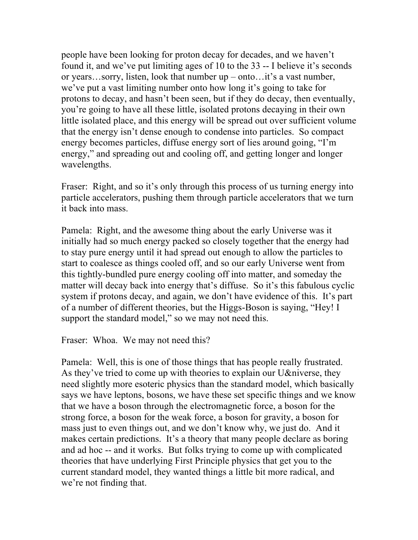people have been looking for proton decay for decades, and we haven't found it, and we've put limiting ages of 10 to the 33 -- I believe it's seconds or years…sorry, listen, look that number up – onto…it's a vast number, we've put a vast limiting number onto how long it's going to take for protons to decay, and hasn't been seen, but if they do decay, then eventually, you're going to have all these little, isolated protons decaying in their own little isolated place, and this energy will be spread out over sufficient volume that the energy isn't dense enough to condense into particles. So compact energy becomes particles, diffuse energy sort of lies around going, "I'm energy," and spreading out and cooling off, and getting longer and longer wavelengths.

Fraser: Right, and so it's only through this process of us turning energy into particle accelerators, pushing them through particle accelerators that we turn it back into mass.

Pamela: Right, and the awesome thing about the early Universe was it initially had so much energy packed so closely together that the energy had to stay pure energy until it had spread out enough to allow the particles to start to coalesce as things cooled off, and so our early Universe went from this tightly-bundled pure energy cooling off into matter, and someday the matter will decay back into energy that's diffuse. So it's this fabulous cyclic system if protons decay, and again, we don't have evidence of this. It's part of a number of different theories, but the Higgs-Boson is saying, "Hey! I support the standard model," so we may not need this.

Fraser: Whoa. We may not need this?

Pamela: Well, this is one of those things that has people really frustrated. As they've tried to come up with theories to explain our U&niverse, they need slightly more esoteric physics than the standard model, which basically says we have leptons, bosons, we have these set specific things and we know that we have a boson through the electromagnetic force, a boson for the strong force, a boson for the weak force, a boson for gravity, a boson for mass just to even things out, and we don't know why, we just do. And it makes certain predictions. It's a theory that many people declare as boring and ad hoc -- and it works. But folks trying to come up with complicated theories that have underlying First Principle physics that get you to the current standard model, they wanted things a little bit more radical, and we're not finding that.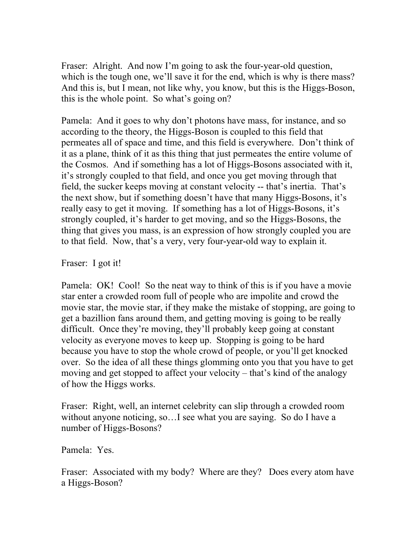Fraser: Alright. And now I'm going to ask the four-year-old question, which is the tough one, we'll save it for the end, which is why is there mass? And this is, but I mean, not like why, you know, but this is the Higgs-Boson, this is the whole point. So what's going on?

Pamela: And it goes to why don't photons have mass, for instance, and so according to the theory, the Higgs-Boson is coupled to this field that permeates all of space and time, and this field is everywhere. Don't think of it as a plane, think of it as this thing that just permeates the entire volume of the Cosmos. And if something has a lot of Higgs-Bosons associated with it, it's strongly coupled to that field, and once you get moving through that field, the sucker keeps moving at constant velocity -- that's inertia. That's the next show, but if something doesn't have that many Higgs-Bosons, it's really easy to get it moving. If something has a lot of Higgs-Bosons, it's strongly coupled, it's harder to get moving, and so the Higgs-Bosons, the thing that gives you mass, is an expression of how strongly coupled you are to that field. Now, that's a very, very four-year-old way to explain it.

Fraser: I got it!

Pamela: OK! Cool! So the neat way to think of this is if you have a movie star enter a crowded room full of people who are impolite and crowd the movie star, the movie star, if they make the mistake of stopping, are going to get a bazillion fans around them, and getting moving is going to be really difficult. Once they're moving, they'll probably keep going at constant velocity as everyone moves to keep up. Stopping is going to be hard because you have to stop the whole crowd of people, or you'll get knocked over. So the idea of all these things glomming onto you that you have to get moving and get stopped to affect your velocity – that's kind of the analogy of how the Higgs works.

Fraser: Right, well, an internet celebrity can slip through a crowded room without anyone noticing, so…I see what you are saying. So do I have a number of Higgs-Bosons?

Pamela: Yes.

Fraser: Associated with my body? Where are they? Does every atom have a Higgs-Boson?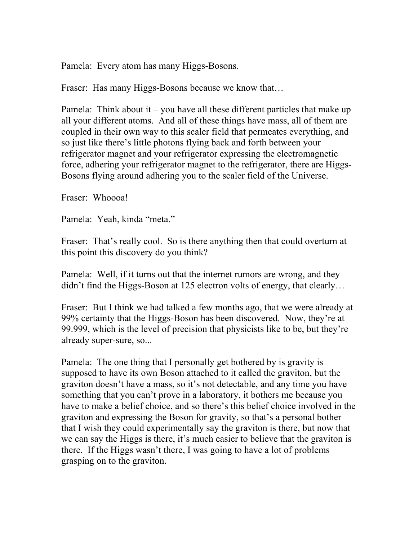Pamela: Every atom has many Higgs-Bosons.

Fraser: Has many Higgs-Bosons because we know that…

Pamela: Think about it – you have all these different particles that make up all your different atoms. And all of these things have mass, all of them are coupled in their own way to this scaler field that permeates everything, and so just like there's little photons flying back and forth between your refrigerator magnet and your refrigerator expressing the electromagnetic force, adhering your refrigerator magnet to the refrigerator, there are Higgs-Bosons flying around adhering you to the scaler field of the Universe.

Fraser: Whoooa!

Pamela: Yeah, kinda "meta."

Fraser: That's really cool. So is there anything then that could overturn at this point this discovery do you think?

Pamela: Well, if it turns out that the internet rumors are wrong, and they didn't find the Higgs-Boson at 125 electron volts of energy, that clearly…

Fraser: But I think we had talked a few months ago, that we were already at 99% certainty that the Higgs-Boson has been discovered. Now, they're at 99.999, which is the level of precision that physicists like to be, but they're already super-sure, so...

Pamela: The one thing that I personally get bothered by is gravity is supposed to have its own Boson attached to it called the graviton, but the graviton doesn't have a mass, so it's not detectable, and any time you have something that you can't prove in a laboratory, it bothers me because you have to make a belief choice, and so there's this belief choice involved in the graviton and expressing the Boson for gravity, so that's a personal bother that I wish they could experimentally say the graviton is there, but now that we can say the Higgs is there, it's much easier to believe that the graviton is there. If the Higgs wasn't there, I was going to have a lot of problems grasping on to the graviton.